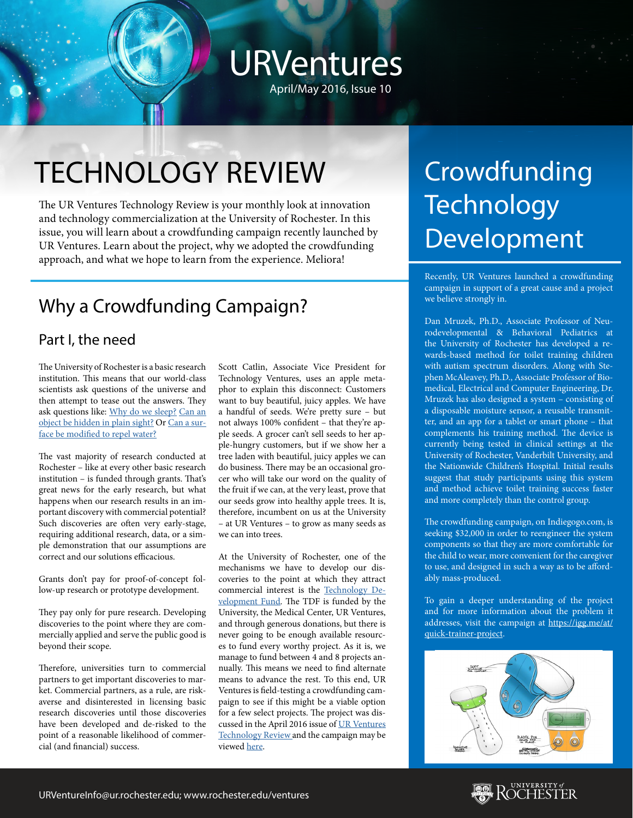## URVentures April/May 2016, Issue 10

TECHNOLOGY REVIEW

The UR Ventures Technology Review is your monthly look at innovation and technology commercialization at the University of Rochester. In this issue, you will learn about a crowdfunding campaign recently launched by UR Ventures. Learn about the project, why we adopted the crowdfunding approach, and what we hope to learn from the experience. Meliora!

### Why a Crowdfunding Campaign?

#### Part I, the need

The University of Rochester is a basic research institution. This means that our world-class scientists ask questions of the universe and then attempt to tease out the answers. They ask questions like: [Why do we sleep?](https://www.urmc.rochester.edu/news/story/3956/to-sleep-perchance-to-clean.aspx) [Can an](http://www.rochester.edu/newscenter/watch-rochester-cloak-uses-ordinary-lenses-to-hide-objects-across-continuous-range-of-angles-70592/) [object be hidden in plain sight?](http://www.rochester.edu/newscenter/watch-rochester-cloak-uses-ordinary-lenses-to-hide-objects-across-continuous-range-of-angles-70592/) Or [Can a sur](http://www.rochester.edu/newscenter/superhydrophobic-metals-85592/)[face be modified to repel water?](http://www.rochester.edu/newscenter/superhydrophobic-metals-85592/)

The vast majority of research conducted at Rochester – like at every other basic research institution – is funded through grants. That's great news for the early research, but what happens when our research results in an important discovery with commercial potential? Such discoveries are often very early-stage, requiring additional research, data, or a simple demonstration that our assumptions are correct and our solutions efficacious.

Grants don't pay for proof-of-concept follow-up research or prototype development.

They pay only for pure research. Developing discoveries to the point where they are commercially applied and serve the public good is beyond their scope.

Therefore, universities turn to commercial partners to get important discoveries to market. Commercial partners, as a rule, are riskaverse and disinterested in licensing basic research discoveries until those discoveries have been developed and de-risked to the point of a reasonable likelihood of commercial (and financial) success.

Scott Catlin, Associate Vice President for Technology Ventures, uses an apple metaphor to explain this disconnect: Customers want to buy beautiful, juicy apples. We have a handful of seeds. We're pretty sure – but not always 100% confident – that they're apple seeds. A grocer can't sell seeds to her apple-hungry customers, but if we show her a tree laden with beautiful, juicy apples we can do business. There may be an occasional grocer who will take our word on the quality of the fruit if we can, at the very least, prove that our seeds grow into healthy apple trees. It is, therefore, incumbent on us at the University – at UR Ventures – to grow as many seeds as we can into trees.

At the University of Rochester, one of the mechanisms we have to develop our discoveries to the point at which they attract commercial interest is the [Technology De](http://www.rochester.edu/tdf/)[velopment Fund](http://www.rochester.edu/tdf/). The TDF is funded by the University, the Medical Center, UR Ventures, and through generous donations, but there is never going to be enough available resources to fund every worthy project. As it is, we manage to fund between 4 and 8 projects annually. This means we need to find alternate means to advance the rest. To this end, UR Ventures is field-testing a crowdfunding campaign to see if this might be a viable option for a few select projects. The project was discussed in the April 2016 issue of [UR Ventures](http://www.rochester.edu/ventures/news-events/ur-ventures-technology-review/) [Technology Review a](http://www.rochester.edu/ventures/news-events/ur-ventures-technology-review/)nd the campaign may be viewed [here](https://www.indiegogo.com/projects/quick-trainer-system/x/13496682#/).

# **Crowdfunding Technology** Development

Recently, UR Ventures launched a crowdfunding campaign in support of a great cause and a project we believe strongly in.

Dan Mruzek, Ph.D., Associate Professor of Neurodevelopmental & Behavioral Pediatrics at the University of Rochester has developed a rewards-based method for toilet training children with autism spectrum disorders. Along with Stephen McAleavey, Ph.D., Associate Professor of Biomedical, Electrical and Computer Engineering, Dr. Mruzek has also designed a system – consisting of a disposable moisture sensor, a reusable transmitter, and an app for a tablet or smart phone – that complements his training method. The device is currently being tested in clinical settings at the University of Rochester, Vanderbilt University, and the Nationwide Children's Hospital. Initial results suggest that study participants using this system and method achieve toilet training success faster and more completely than the control group.

The crowdfunding campaign, on Indiegogo.com, is seeking \$32,000 in order to reengineer the system components so that they are more comfortable for the child to wear, more convenient for the caregiver to use, and designed in such a way as to be affordably mass-produced.

To gain a deeper understanding of the project and for more information about the problem it addresses, visit the campaign at [https://igg.me/at/](https://www.indiegogo.com/projects/potty-training-system-for-children-with-autism) [quick-trainer-project.](https://www.indiegogo.com/projects/potty-training-system-for-children-with-autism)